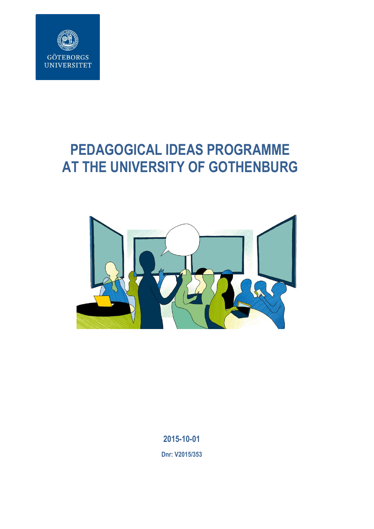

# **PEDAGOGICAL IDEAS PROGRAMME AT THE UNIVERSITY OF GOTHENBURG**



**2015-10-01**

**Dnr: V2015/353**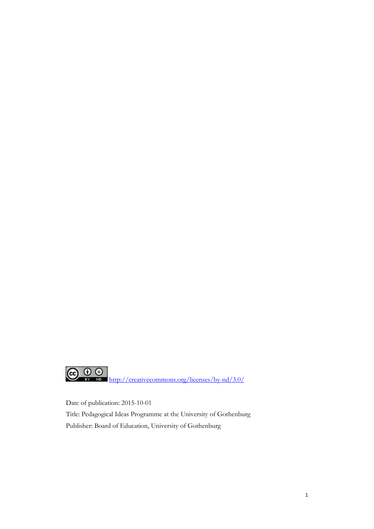

Date of publication: 2015-10-01 Title: Pedagogical Ideas Programme at the University of Gothenburg Publisher: Board of Education, University of Gothenburg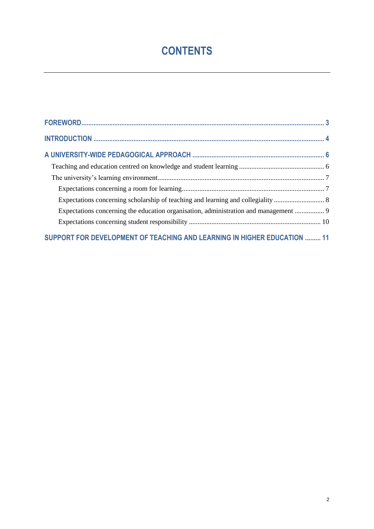# **CONTENTS**

| Expectations concerning the education organisation, administration and management  9 |  |
|--------------------------------------------------------------------------------------|--|
|                                                                                      |  |
| SUPPORT FOR DEVELOPMENT OF TEACHING AND LEARNING IN HIGHER EDUCATION  11             |  |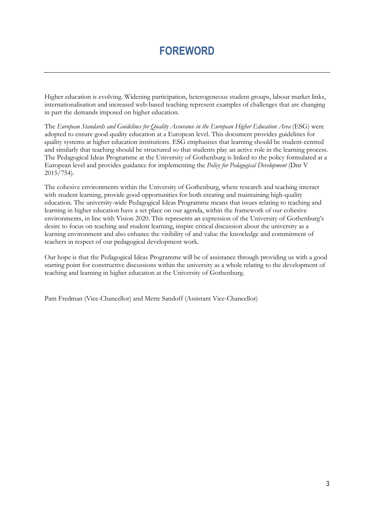# **FOREWORD**

<span id="page-3-0"></span>Higher education is evolving. Widening participation, heterogeneous student groups, labour market links, internationalisation and increased web-based teaching represent examples of challenges that are changing in part the demands imposed on higher education.

The *European Standards and Guidelines for Quality Assurance in the European Higher Education Area* (ESG) were adopted to ensure good quality education at a European level. This document provides guidelines for quality systems at higher education institutions. ESG emphasises that learning should be student-centred and similarly that teaching should be structured so that students play an active role in the learning process. The Pedagogical Ideas Programme at the University of Gothenburg is linked to the policy formulated at a European level and provides guidance for implementing the *Policy for Pedagogical Development* (Dnr V 2015/754).

The cohesive environments within the University of Gothenburg, where research and teaching interact with student learning, provide good opportunities for both creating and maintaining high-quality education. The university-wide Pedagogical Ideas Programme means that issues relating to teaching and learning in higher education have a set place on our agenda, within the framework of our cohesive environments, in line with Vision 2020. This represents an expression of the University of Gothenburg's desire to focus on teaching and student learning, inspire critical discussion about the university as a learning environment and also enhance the visibility of and value the knowledge and commitment of teachers in respect of our pedagogical development work.

Our hope is that the Pedagogical Ideas Programme will be of assistance through providing us with a good starting point for constructive discussions within the university as a whole relating to the development of teaching and learning in higher education at the University of Gothenburg.

Pam Fredman (Vice-Chancellor) and Mette Sandoff (Assistant Vice-Chancellor)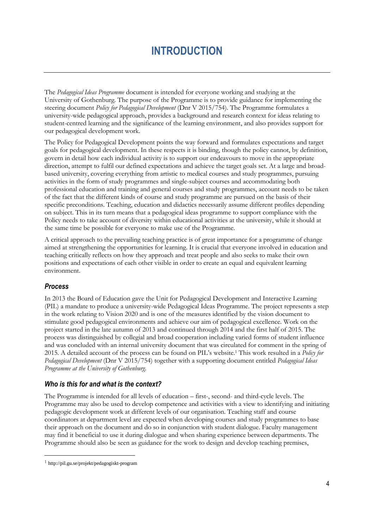# **INTRODUCTION**

<span id="page-4-0"></span>The *Pedagogical Ideas Programme* document is intended for everyone working and studying at the University of Gothenburg. The purpose of the Programme is to provide guidance for implementing the steering document *Policy for Pedagogical Development* (Dnr V 2015/754). The Programme formulates a university-wide pedagogical approach, provides a background and research context for ideas relating to student-centred learning and the significance of the learning environment, and also provides support for our pedagogical development work.

The Policy for Pedagogical Development points the way forward and formulates expectations and target goals for pedagogical development. In these respects it is binding, though the policy cannot, by definition, govern in detail how each individual activity is to support our endeavours to move in the appropriate direction, attempt to fulfil our defined expectations and achieve the target goals set. At a large and broadbased university, covering everything from artistic to medical courses and study programmes, pursuing activities in the form of study programmes and single-subject courses and accommodating both professional education and training and general courses and study programmes, account needs to be taken of the fact that the different kinds of course and study programme are pursued on the basis of their specific preconditions. Teaching, education and didactics necessarily assume different profiles depending on subject. This in its turn means that a pedagogical ideas programme to support compliance with the Policy needs to take account of diversity within educational activities at the university, while it should at the same time be possible for everyone to make use of the Programme.

A critical approach to the prevailing teaching practice is of great importance for a programme of change aimed at strengthening the opportunities for learning. It is crucial that everyone involved in education and teaching critically reflects on how they approach and treat people and also seeks to make their own positions and expectations of each other visible in order to create an equal and equivalent learning environment.

### *Process*

l

In 2013 the Board of Education gave the Unit for Pedagogical Development and Interactive Learning (PIL) a mandate to produce a university-wide Pedagogical Ideas Programme. The project represents a step in the work relating to Vision 2020 and is one of the measures identified by the vision document to stimulate good pedagogical environments and achieve our aim of pedagogical excellence. Work on the project started in the late autumn of 2013 and continued through 2014 and the first half of 2015. The process was distinguished by collegial and broad cooperation including varied forms of student influence and was concluded with an internal university document that was circulated for comment in the spring of 2015. A detailed account of the process can be found on PIL's website.<sup>1</sup> This work resulted in a *Policy for Pedagogical Development* (Dnr V 2015/754) together with a supporting document entitled *Pedagogical Ideas Programme at the University of Gothenburg*.

#### *Who is this for and what is the context?*

The Programme is intended for all levels of education – first-, second- and third-cycle levels. The Programme may also be used to develop competence and activities with a view to identifying and initiating pedagogic development work at different levels of our organisation. Teaching staff and course coordinators at department level are expected when developing courses and study programmes to base their approach on the document and do so in conjunction with student dialogue. Faculty management may find it beneficial to use it during dialogue and when sharing experience between departments. The Programme should also be seen as guidance for the work to design and develop teaching premises,

<sup>1</sup> http://pil.gu.se/projekt/pedagogiskt-program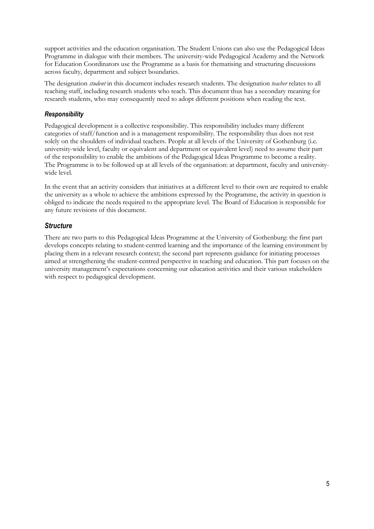support activities and the education organisation. The Student Unions can also use the Pedagogical Ideas Programme in dialogue with their members. The university-wide Pedagogical Academy and the Network for Education Coordinators use the Programme as a basis for thematising and structuring discussions across faculty, department and subject boundaries.

The designation *student* in this document includes research students. The designation *teacher* relates to all teaching staff, including research students who teach. This document thus has a secondary meaning for research students, who may consequently need to adopt different positions when reading the text.

#### *Responsibility*

Pedagogical development is a collective responsibility. This responsibility includes many different categories of staff/function and is a management responsibility. The responsibility thus does not rest solely on the shoulders of individual teachers. People at all levels of the University of Gothenburg (i.e. university-wide level, faculty or equivalent and department or equivalent level) need to assume their part of the responsibility to enable the ambitions of the Pedagogical Ideas Programme to become a reality. The Programme is to be followed up at all levels of the organisation: at department, faculty and universitywide level.

In the event that an activity considers that initiatives at a different level to their own are required to enable the university as a whole to achieve the ambitions expressed by the Programme, the activity in question is obliged to indicate the needs required to the appropriate level. The Board of Education is responsible for any future revisions of this document.

### *Structure*

There are two parts to this Pedagogical Ideas Programme at the University of Gothenburg: the first part develops concepts relating to student-centred learning and the importance of the learning environment by placing them in a relevant research context; the second part represents guidance for initiating processes aimed at strengthening the student-centred perspective in teaching and education. This part focuses on the university management's expectations concerning our education activities and their various stakeholders with respect to pedagogical development.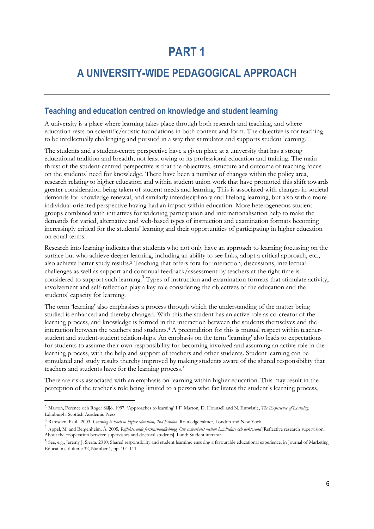# **PART 1**

# <span id="page-6-0"></span>**A UNIVERSITY-WIDE PEDAGOGICAL APPROACH**

### <span id="page-6-1"></span>**Teaching and education centred on knowledge and student learning**

A university is a place where learning takes place through both research and teaching, and where education rests on scientific/artistic foundations in both content and form. The objective is for teaching to be intellectually challenging and pursued in a way that stimulates and supports student learning.

The students and a student-centre perspective have a given place at a university that has a strong educational tradition and breadth, not least owing to its professional education and training. The main thrust of the student-centred perspective is that the objectives, structure and outcome of teaching focus on the students' need for knowledge. There have been a number of changes within the policy area, research relating to higher education and within student union work that have promoted this shift towards greater consideration being taken of student needs and learning. This is associated with changes in societal demands for knowledge renewal, and similarly interdisciplinary and lifelong learning, but also with a more individual-oriented perspective having had an impact within education. More heterogeneous student groups combined with initiatives for widening participation and internationalisation help to make the demands for varied, alternative and web-based types of instruction and examination formats becoming increasingly critical for the students' learning and their opportunities of participating in higher education on equal terms.

Research into learning indicates that students who not only have an approach to learning focussing on the surface but who achieve deeper learning, including an ability to see links, adopt a critical approach, etc., also achieve better study results. <sup>2</sup> Teaching that offers fora for interaction, discussions, intellectual challenges as well as support and continual feedback/assessment by teachers at the right time is considered to support such learning.<sup>3</sup> Types of instruction and examination formats that stimulate activity, involvement and self-reflection play a key role considering the objectives of the education and the students' capacity for learning.

The term 'learning' also emphasises a process through which the understanding of the matter being studied is enhanced and thereby changed. With this the student has an active role as co-creator of the learning process, and knowledge is formed in the interaction between the students themselves and the interaction between the teachers and students.<sup>4</sup> A precondition for this is mutual respect within teacherstudent and student-student relationships. An emphasis on the term 'learning' also leads to expectations for students to assume their own responsibility for becoming involved and assuming an active role in the learning process, with the help and support of teachers and other students. Student learning can be stimulated and study results thereby improved by making students aware of the shared responsibility that teachers and students have for the learning process. 5

There are risks associated with an emphasis on learning within higher education. This may result in the perception of the teacher's role being limited to a person who facilitates the student's learning process,

l

<sup>2</sup> Marton, Ference och Roger Säljö. 1997. 'Approaches to learning' I F. Marton, D. Hounsell and N. Entwistle, *The Experience of Learning*. Edinburgh: Scottish Academic Press.

<sup>3</sup> Ramsden, Paul. 2003. *Learning to teach in higher education, 2nd Edition*. RoutledgeFalmer, London and New York.

<sup>&</sup>lt;sup>4</sup> Appel, M. and Bergenheim, Å. 2005. Reflekterande forskarbandledning. Om samarbetet mellan handledare och doktorand [Reflective research supervision. About the cooperation between supervisors and doctoral students]. Lund: Studentlitteratur.

<sup>5</sup> See, e.g., Jeremy J. Sierra. 2010. Shared responsibility and student learning: ensuring a favourable educational experience, in Journal of Marketing Education. Volume 32, Number 1, pp. 104-111.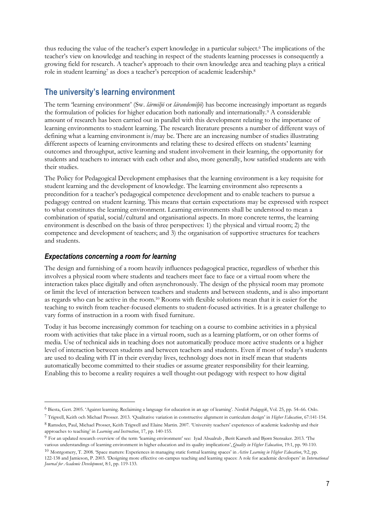thus reducing the value of the teacher's expert knowledge in a particular subject.<sup>6</sup> The implications of the teacher's view on knowledge and teaching in respect of the students learning processes is consequently a growing field for research. A teacher's approach to their own knowledge area and teaching plays a critical role in student learning<sup>7</sup> as does a teacher's perception of academic leadership.<sup>8</sup>

## <span id="page-7-0"></span>**The university's learning environment**

The term 'learning environment' (Sw. *lärmiljö* or *lärandemiljö*) has become increasingly important as regards the formulation of policies for higher education both nationally and internationally.<sup>9</sup> A considerable amount of research has been carried out in parallel with this development relating to the importance of learning environments to student learning. The research literature presents a number of different ways of defining what a learning environment is/may be. There are an increasing number of studies illustrating different aspects of learning environments and relating these to desired effects on students' learning outcomes and throughput, active learning and student involvement in their learning, the opportunity for students and teachers to interact with each other and also, more generally, how satisfied students are with their studies.

The Policy for Pedagogical Development emphasises that the learning environment is a key requisite for student learning and the development of knowledge. The learning environment also represents a precondition for a teacher's pedagogical competence development and to enable teachers to pursue a pedagogy centred on student learning. This means that certain expectations may be expressed with respect to what constitutes the learning environment. Learning environments shall be understood to mean a combination of spatial, social/cultural and organisational aspects. In more concrete terms, the learning environment is described on the basis of three perspectives: 1) the physical and virtual room; 2) the competence and development of teachers; and 3) the organisation of supportive structures for teachers and students.

### <span id="page-7-1"></span>*Expectations concerning a room for learning*

 $\overline{a}$ 

The design and furnishing of a room heavily influences pedagogical practice, regardless of whether this involves a physical room where students and teachers meet face to face or a virtual room where the interaction takes place digitally and often asynchronously. The design of the physical room may promote or limit the level of interaction between teachers and students and between students, and is also important as regards who can be active in the room.<sup>10</sup> Rooms with flexible solutions mean that it is easier for the teaching to switch from teacher-focused elements to student-focused activities. It is a greater challenge to vary forms of instruction in a room with fixed furniture.

Today it has become increasingly common for teaching on a course to combine activities in a physical room with activities that take place in a virtual room, such as a learning platform, or on other forms of media. Use of technical aids in teaching does not automatically produce more active students or a higher level of interaction between students and between teachers and students. Even if most of today's students are used to dealing with IT in their everyday lives, technology does not in itself mean that students automatically become committed to their studies or assume greater responsibility for their learning. Enabling this to become a reality requires a well thought-out pedagogy with respect to how digital

<sup>6</sup> Biesta, Gert. 2005. 'Against learning. Reclaiming a language for education in an age of learning'. *Nordisk Pedagogik*, Vol. 25, pp. 54–66. Oslo.

<sup>7</sup> Trigwell, Keith och Michael Prosser. 2013. 'Qualitative variation in constructive alignment in curriculum design' in *Higher Education*, 67:141-154.

<sup>8</sup> Ramsden, Paul, Michael Prosser, Keith Trigwell and Elaine Martin. 2007. 'University teachers' experiences of academic leadership and their approaches to teaching' in *Learning and Instruction*, 17, pp. 140-155.

<sup>9</sup> For an updated research overview of the term 'learning environment' see: Iyad Abualrub , Berit Karseth and Bjørn Stensaker. 2013. 'The various understandings of learning environment in higher education and its quality implications', *Quality in Higher Education*, 19:1, pp. 90-110.

<sup>10</sup> Montgomery, T. 2008. 'Space matters: Experiences in managing static formal learning spaces' in *Active Learning in Higher Education*, 9:2, pp. 122-138 and Jamieson, P. 2003. 'Designing more effective on-campus teaching and learning spaces: A role for academic developers' in *International Journal for Academic Development*, 8:1, pp. 119-133.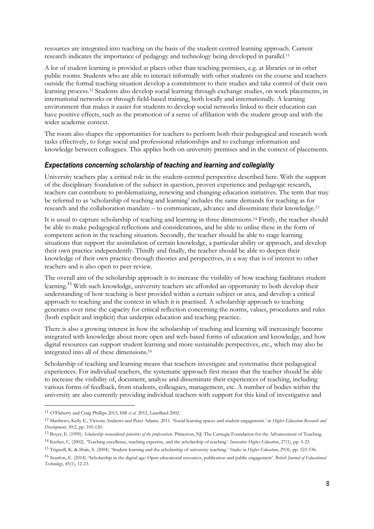resources are integrated into teaching on the basis of the student-centred learning approach. Current research indicates the importance of pedagogy and technology being developed in parallel.<sup>11</sup>

A lot of student learning is provided at places other than teaching premises, e.g. at libraries or in other public rooms. Students who are able to interact informally with other students on the course and teachers outside the formal teaching situation develop a commitment to their studies and take control of their own learning process.<sup>12</sup> Students also develop social learning through exchange studies, on work placements, in international networks or through field-based training, both locally and internationally. A learning environment that makes it easier for students to develop social networks linked to their education can have positive effects, such as the promotion of a sense of affiliation with the student group and with the wider academic context.

The room also shapes the opportunities for teachers to perform both their pedagogical and research work tasks effectively, to forge social and professional relationships and to exchange information and knowledge between colleagues. This applies both on university premises and in the context of placements.

#### <span id="page-8-0"></span>*Expectations concerning scholarship of teaching and learning and collegiality*

University teachers play a critical role in the student-centred perspective described here. With the support of the disciplinary foundation of the subject in question, proven experience and pedagogic research, teachers can contribute to problematizing, renewing and changing education initiatives. The term that may be referred to as 'scholarship of teaching and learning' includes the same demands for teaching as for research and the collaboration mandate – to communicate, advance and disseminate their knowledge.<sup>13</sup>

It is usual to capture scholarship of teaching and learning in three dimensions. <sup>14</sup> Firstly, the teacher should be able to make pedagogical reflections and considerations, and be able to utilise these in the form of competent action in the teaching situation. Secondly, the teacher should be able to stage learning situations that support the assimilation of certain knowledge, a particular ability or approach, and develop their own practice independently. Thirdly and finally, the teacher should be able to deepen their knowledge of their own practice through theories and perspectives, in a way that is of interest to other teachers and is also open to peer review.

The overall aim of the scholarship approach is to increase the visibility of how teaching facilitates student learning.<sup>15</sup> With such knowledge, university teachers are afforded an opportunity to both develop their understanding of how teaching is best provided within a certain subject or area, and develop a critical approach to teaching and the context in which it is practised. A scholarship approach to teaching generates over time the capacity for critical reflection concerning the norms, values, procedures and rules (both explicit and implicit) that underpin education and teaching practice.

There is also a growing interest in how the scholarship of teaching and learning will increasingly become integrated with knowledge about more open and web-based forms of education and knowledge, and how digital resources can support student learning and more sustainable perspectives, etc., which may also be integrated into all of these dimensions.<sup>16</sup>

Scholarship of teaching and learning means that teachers investigate and systematise their pedagogical experiences. For individual teachers, the systematic approach first means that the teacher should be able to increase the visibility of, document, analyse and disseminate their experiences of teaching, including various forms of feedback, from students, colleagues, management, etc. A number of bodies within the university are also currently providing individual teachers with support for this kind of investigative and

 $\overline{a}$ 

<sup>11</sup> O'Flaherty and Craig Phillips 2015, Hill *et al*. 2012, Laurillard 2002.

<sup>12</sup> Matthews, Kelly E., Victoria Andrews and Peter Adams. 2011. 'Social learning spaces and student engagement.' in *Higher Education Research and Development,* 30:2, pp. 105-120.

<sup>13</sup> Boyer, E. (1990). *Scholarship reconsidered: priorities of the professoriate*. Princeton, NJ: The Carnegie Foundation for the Advancement of Teaching.

<sup>14</sup> Kreber, C. (2002). 'Teaching excellence, teaching expertise, and the scholarship of teaching'. *Innovative Higher Education*, 27(1), pp. 5-23.

<sup>15</sup> Trigwell, K. & Shale, S. (2004). 'Student learning and the scholarship of university teaching.' *Studies in Higher Education*, 29(4), pp. 523-536.

<sup>16</sup> Scanlon, E. (2014). 'Scholarship in the digital age: Open educational resources, publication and public engagement'. *British Journal of Educational Technology*, 45(1), 12-23.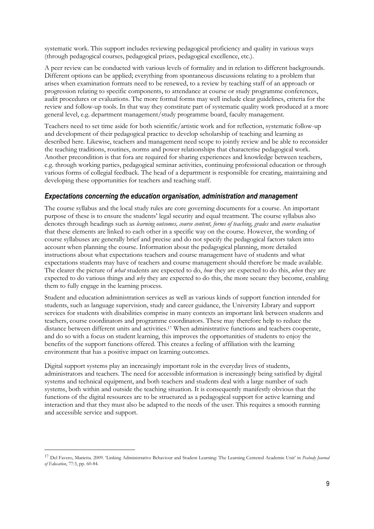systematic work. This support includes reviewing pedagogical proficiency and quality in various ways (through pedagogical courses, pedagogical prizes, pedagogical excellence, etc.).

A peer review can be conducted with various levels of formality and in relation to different backgrounds. Different options can be applied; everything from spontaneous discussions relating to a problem that arises when examination formats need to be renewed, to a review by teaching staff of an approach or progression relating to specific components, to attendance at course or study programme conferences, audit procedures or evaluations. The more formal forms may well include clear guidelines, criteria for the review and follow-up tools. In that way they constitute part of systematic quality work produced at a more general level, e.g. department management/study programme board, faculty management.

Teachers need to set time aside for both scientific/artistic work and for reflection, systematic follow-up and development of their pedagogical practice to develop scholarship of teaching and learning as described here. Likewise, teachers and management need scope to jointly review and be able to reconsider the teaching traditions, routines, norms and power relationships that characterise pedagogical work. Another precondition is that fora are required for sharing experiences and knowledge between teachers, e.g. through working parties, pedagogical seminar activities, continuing professional education or through various forms of collegial feedback. The head of a department is responsible for creating, maintaining and developing these opportunities for teachers and teaching staff.

#### <span id="page-9-0"></span>*Expectations concerning the education organisation, administration and management*

The course syllabus and the local study rules are core governing documents for a course. An important purpose of these is to ensure the students' legal security and equal treatment. The course syllabus also denotes through headings such as *learning outcomes, course content, forms of teaching, grades* and *course evaluation* that these elements are linked to each other in a specific way on the course. However, the wording of course syllabuses are generally brief and precise and do not specify the pedagogical factors taken into account when planning the course. Information about the pedagogical planning, more detailed instructions about what expectations teachers and course management have of students and what expectations students may have of teachers and course management should therefore be made available. The clearer the picture of *what* students are expected to do, *how* they are expected to do this, *when* they are expected to do various things and *why* they are expected to do this, the more secure they become, enabling them to fully engage in the learning process.

Student and education administration services as well as various kinds of support function intended for students, such as language supervision, study and career guidance, the University Library and support services for students with disabilities comprise in many contexts an important link between students and teachers, course coordinators and programme coordinators. These may therefore help to reduce the distance between different units and activities.<sup>17</sup> When administrative functions and teachers cooperate, and do so with a focus on student learning, this improves the opportunities of students to enjoy the benefits of the support functions offered. This creates a feeling of affiliation with the learning environment that has a positive impact on learning outcomes.

Digital support systems play an increasingly important role in the everyday lives of students, administrators and teachers. The need for accessible information is increasingly being satisfied by digital systems and technical equipment, and both teachers and students deal with a large number of such systems, both within and outside the teaching situation. It is consequently manifestly obvious that the functions of the digital resources are to be structured as a pedagogical support for active learning and interaction and that they must also be adapted to the needs of the user. This requires a smooth running and accessible service and support.

l

<sup>17</sup> Del Favero, Marietta. 2009. 'Linking Administrative Behaviour and Student Learning: The Learning Centered Academic Unit' in *Peabody Journal of Education*, 77:3, pp. 60-84.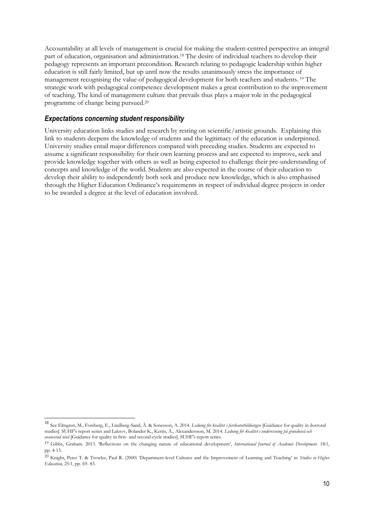Accountability at all levels of management is crucial for making the student-centred perspective an integral part of education, organisation and administration. <sup>18</sup> The desire of individual teachers to develop their pedagogy represents an important precondition. Research relating to pedagogic leadership within higher education is still fairly limited, but up until now the results unanimously stress the importance of management recognising the value of pedagogical development for both teachers and students. <sup>19</sup> The strategic work with pedagogical competence development makes a great contribution to the improvement of teaching. The kind of management culture that prevails thus plays a major role in the pedagogical programme of change being pursued.<sup>20</sup>

#### <span id="page-10-0"></span>*Expectations concerning student responsibility*

l

University education links studies and research by resting on scientific/artistic grounds. Explaining this link to students deepens the knowledge of students and the legitimacy of the education is underpinned. University studies entail major differences compared with preceding studies. Students are expected to assume a significant responsibility for their own learning process and are expected to improve, seek and provide knowledge together with others as well as being expected to challenge their pre-understanding of concepts and knowledge of the world. Students are also expected in the course of their education to develop their ability to independently both seek and produce new knowledge, which is also emphasised through the Higher Education Ordinance's requirements in respect of individual degree projects in order to be awarded a degree at the level of education involved.

<sup>18</sup> See Elmgren, M., Forsberg, E., Lindberg-Sand, Å. & Sonesson, A. 2014. *Ledning för kvalitet i forskarutbildningen* [Guidance for quality in doctoral studies]. SUHF's report series and Laksov, Bolander K., Kettis, Å., Alexandersson, M. 2014. *Ledning för kvalitet i undervisning på grundnivå och avancerad nivå* [Guidance for quality in first- and second-cycle studies]. SUHF's report series.

<sup>19</sup> Gibbs, Graham. 2013. 'Reflections on the changing nature of educational development', *International Journal of Academic Development*. 18:1, pp. 4-13.

<sup>20</sup> Knight, Peter T. & Trowler, Paul R. (2000) 'Department-level Cultures and the Improvement of Learning and Teaching' in *Studies in Higher Education*, 25:1, pp. 69- 83.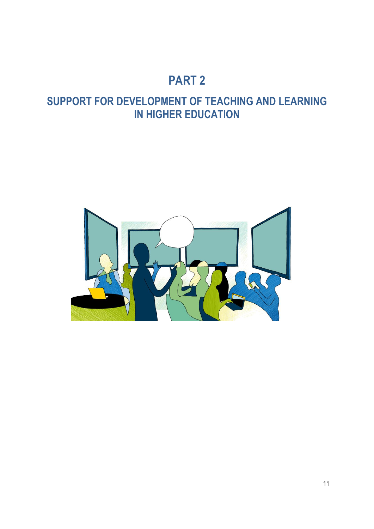# **PART 2**

# <span id="page-11-0"></span>**SUPPORT FOR DEVELOPMENT OF TEACHING AND LEARNING IN HIGHER EDUCATION**

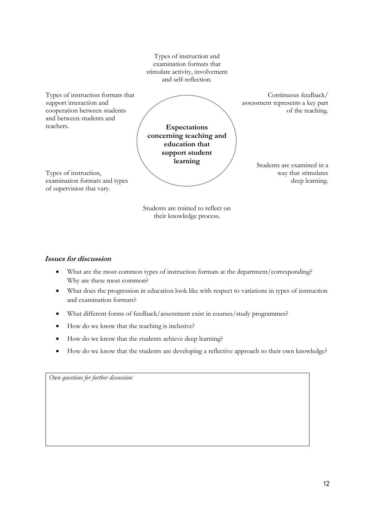Types of instruction and examination formats that stimulate activity, involvement and self-reflection.

Types of instruction formats that support interaction and cooperation between students and between students and teachers.

Continuous feedback/ assessment represents a key part of the teaching.

**Expectations concerning teaching and education that support student learning**

Types of instruction, examination formats and types of supervision that vary.

Students are examined in a way that stimulates deep learning.

Students are trained to reflect on their knowledge process.

### **Issues for discussion**

- What are the most common types of instruction formats at the department/corresponding? Why are these most common?
- What does the progression in education look like with respect to variations in types of instruction and examination formats?
- What different forms of feedback/assessment exist in courses/study programmes?
- How do we know that the teaching is inclusive?
- How do we know that the students achieve deep learning?
- How do we know that the students are developing a reflective approach to their own knowledge?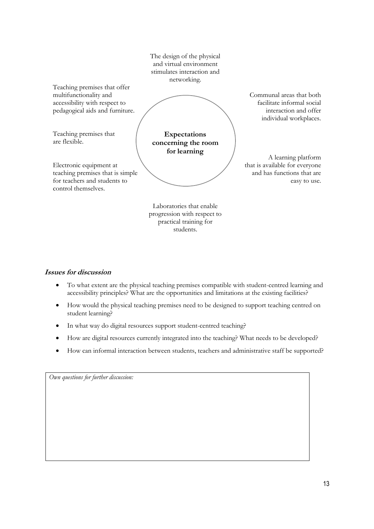|                                                                                                                                                               | The design of the physical<br>and virtual environment<br>stimulates interaction and<br>networking. |                                                                                                           |
|---------------------------------------------------------------------------------------------------------------------------------------------------------------|----------------------------------------------------------------------------------------------------|-----------------------------------------------------------------------------------------------------------|
| Teaching premises that offer<br>multifunctionality and<br>accessibility with respect to<br>pedagogical aids and furniture.                                    |                                                                                                    | Communal areas that both<br>facilitate informal social<br>interaction and offer<br>individual workplaces. |
| Teaching premises that<br>are flexible.<br>Electronic equipment at<br>teaching premises that is simple<br>for teachers and students to<br>control themselves. | <b>Expectations</b><br>concerning the room<br>for learning                                         | A learning platform<br>that is available for everyone<br>and has functions that are<br>easy to use.       |
|                                                                                                                                                               | Laboratories that enable<br>progression with respect to<br>practical training for<br>students.     |                                                                                                           |

#### **Issues for discussion**

- To what extent are the physical teaching premises compatible with student-centred learning and accessibility principles? What are the opportunities and limitations at the existing facilities?
- How would the physical teaching premises need to be designed to support teaching centred on student learning?
- In what way do digital resources support student-centred teaching?
- How are digital resources currently integrated into the teaching? What needs to be developed?
- How can informal interaction between students, teachers and administrative staff be supported?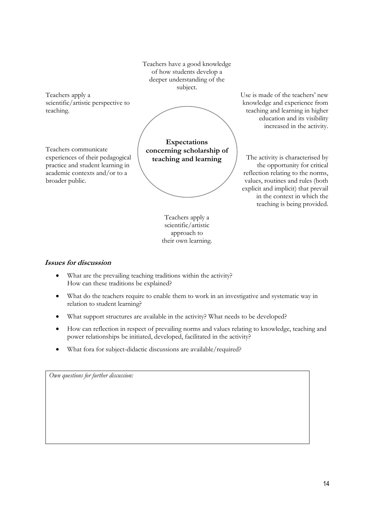Teachers apply a scientific/artistic perspective to teaching. Teachers communicate experiences of their pedagogical practice and student learning in academic contexts and/or to a broader public. Teachers have a good knowledge of how students develop a deeper understanding of the subject. **Expectations concerning scholarship of teaching and learning** Teachers apply a Use is made of the teachers' new knowledge and experience from teaching and learning in higher education and its visibility increased in the activity. The activity is characterised by the opportunity for critical reflection relating to the norms, values, routines and rules (both explicit and implicit) that prevail in the context in which the teaching is being provided.

scientific/artistic approach to their own learning.

### **Issues for discussion**

- What are the prevailing teaching traditions within the activity? How can these traditions be explained?
- What do the teachers require to enable them to work in an investigative and systematic way in relation to student learning?
- What support structures are available in the activity? What needs to be developed?
- How can reflection in respect of prevailing norms and values relating to knowledge, teaching and power relationships be initiated, developed, facilitated in the activity?
- What fora for subject-didactic discussions are available/required?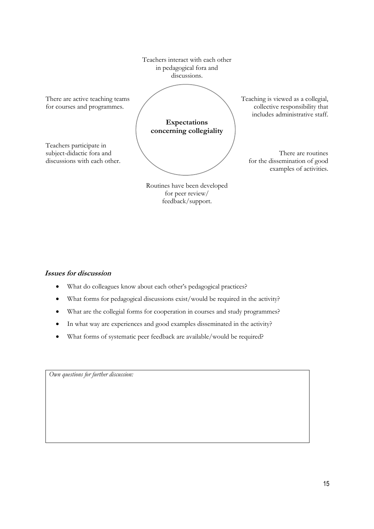

#### **Issues for discussion**

- What do colleagues know about each other's pedagogical practices?
- What forms for pedagogical discussions exist/would be required in the activity?
- What are the collegial forms for cooperation in courses and study programmes?
- In what way are experiences and good examples disseminated in the activity?
- What forms of systematic peer feedback are available/would be required?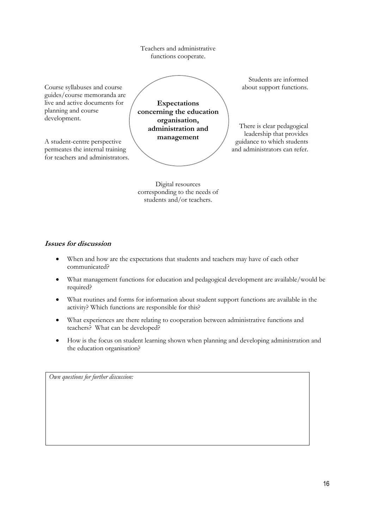Teachers and administrative functions cooperate.

Course syllabuses and course guides/course memoranda are live and active documents for planning and course development.

A student-centre perspective permeates the internal training for teachers and administrators.

**Expectations concerning the education organisation, administration and management**

Students are informed about support functions.

There is clear pedagogical leadership that provides guidance to which students and administrators can refer.

Digital resources corresponding to the needs of students and/or teachers.

#### **Issues for discussion**

- When and how are the expectations that students and teachers may have of each other communicated?
- What management functions for education and pedagogical development are available/would be required?
- What routines and forms for information about student support functions are available in the activity? Which functions are responsible for this?
- What experiences are there relating to cooperation between administrative functions and teachers? What can be developed?
- How is the focus on student learning shown when planning and developing administration and the education organisation?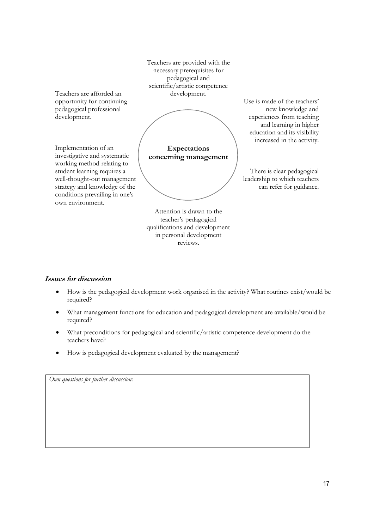Teachers are provided with the necessary prerequisites for pedagogical and scientific/artistic competence development.

Teachers are afforded an opportunity for continuing pedagogical professional development.

Implementation of an investigative and systematic working method relating to student learning requires a well-thought-out management strategy and knowledge of the conditions prevailing in one's own environment.

**Expectations**

**concerning management**

There is clear pedagogical leadership to which teachers can refer for guidance.

Use is made of the teachers'

new knowledge and experiences from teaching and learning in higher education and its visibility increased in the activity.

Attention is drawn to the teacher's pedagogical qualifications and development in personal development reviews.

### **Issues for discussion**

- How is the pedagogical development work organised in the activity? What routines exist/would be required?
- What management functions for education and pedagogical development are available/would be required?
- What preconditions for pedagogical and scientific/artistic competence development do the teachers have?
- How is pedagogical development evaluated by the management?